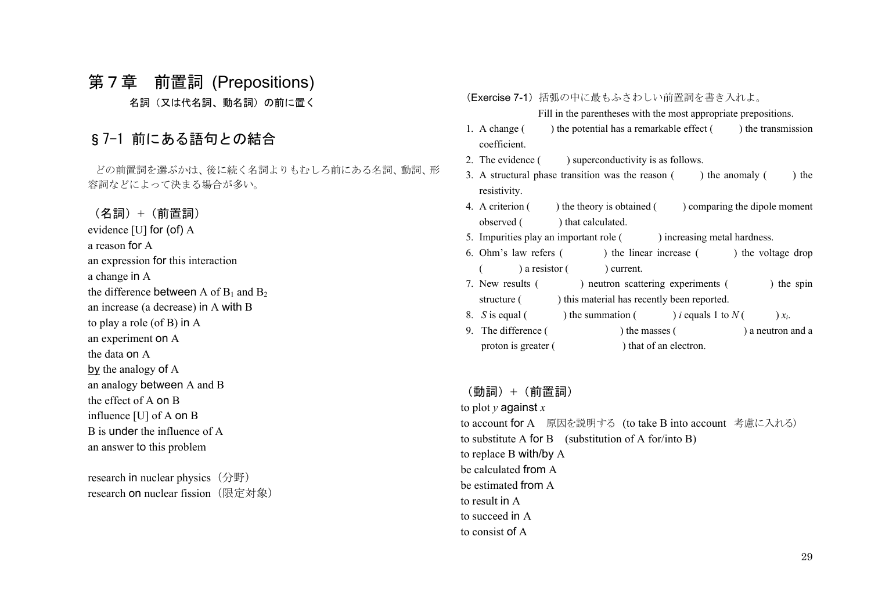# 第7章 前置詞 (Prepositions)

名詞(又は代名詞、動名詞)の前に置く

## §7-1 前にある語句との結合

どの前置詞を選ぶかは、後に続く名詞よりもむしろ前にある名詞、動詞、形 容詞などによって決まる場合が多い。

### (名詞) <sup>+</sup>(前置詞)

evidence [U] for (of) A a reason for A an expression for this interaction a change in A the difference between A of  $B_1$  and  $B_2$ an increase (a decrease) in A with B to play a role (of B) in A an experiment on A the data on A by the analogy of A an analogy between A and B the effect of A on B influence [U] of A on B B is under the influence of A an answer to this problem

research in nuclear physics (分野) research on nuclear fission (限定対象)

(Exercise 7-1)括弧の中に最もふさわしい前置詞を書き入れよ。 Fill in the parentheses with the most appropriate prepositions. 1. A change  $($  ) the potential has a remarkable effect  $($  ) the transmission coefficient. 2. The evidence ( ) superconductivity is as follows. 3. A structural phase transition was the reason  $($ ) the anomaly  $($ ) the resistivity.

- 4. A criterion () the theory is obtained () comparing the dipole moment observed () that calculated.
- 5. Impurities play an important role () increasing metal hardness.
- 6. Ohm's law refers ( ) the linear increase ( ) the voltage drop  $($  a resistor  $($  current.
- 7. New results ( ) neutron scattering experiments ( ) the spin structure ( ) this material has recently been reported.
- 8. ) the summation ( ) *i* equals 1 to  $N$  (  $\chi_{i}$ .
- 9. The difference ( ) the masses ( ) a neutron and a proton is greater ( ) that of an electron.

### (動詞) <sup>+</sup>(前置詞)

to plot *y* against *x* to account for A 原因を説明する (to take B into account 考慮に入れる) to substitute A for B (substitution of A for/into B) to replace B with/by A be calculated from A be estimated from A to result in A to succeed in A to consist of A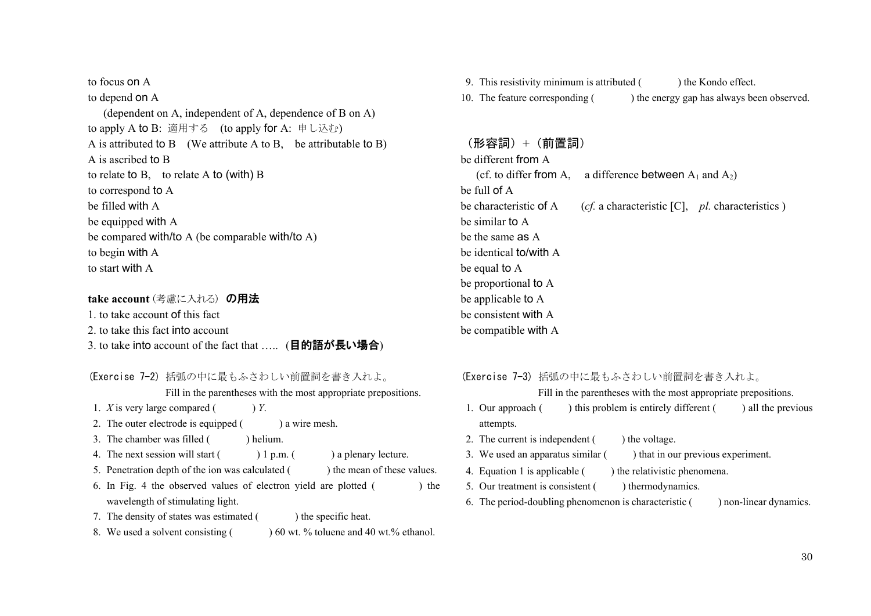to focus on A to depend on A (dependent on A, independent of A, dependence of B on A) to apply A to B: 適用する (to apply for A: 申し込む) A is attributed to B (We attribute A to B, be attributable to B) A is ascribed to B to relate to B, to relate A to (with) B to correspond to A be filled with A be equipped with A be compared with/to A (be comparable with/to A) to begin with A to start with A

#### **take account** (考慮に入れる) の用法

1. to take account of this fact 2. to take this fact into account 3. to take into account of the fact that ….. (目的語が長い場合)

### (Exercise 7-2) 括弧の中に最もふさわしい前置詞を書き入れよ。

Fill in the parentheses with the most appropriate prepositions.

- 1. *X* is very large compared () *Y*.
- 2. The outer electrode is equipped () a wire mesh.
- 3. The chamber was filled () helium.
- 4. The next session will start  $($   $) 1 p.m. ($  a plenary lecture.
- 5. Penetration depth of the ion was calculated () the mean of these values.
- 6. In Fig. 4 the observed values of electron yield are plotted ( ) the wavelength of stimulating light.
- 7. The density of states was estimated () the specific heat.
- 8. We used a solvent consisting () 60 wt. % toluene and 40 wt. % ethanol.

9. This resistivity minimum is attributed () the Kondo effect. 10. The feature corresponding () the energy gap has always been observed.

(形容詞)+(前置詞) be different from A (cf. to differ from A, a difference between  $A_1$  and  $A_2$ ) be full of A be characteristic of A (*cf.* a characteristic [C], *pl.* characteristics ) be similar to A be the same as A be identical to/with A be equal to A be proportional to A be applicable to A be consistent with A be compatible with A

- (Exercise 7-3) 括弧の中に最もふさわしい前置詞を書き入れよ。 Fill in the parentheses with the most appropriate prepositions. 1. Our approach  $($  ) this problem is entirely different  $($  ) all the previous
- attempts.
- 2. The current is independent () the voltage.
- 3. We used an apparatus similar  $($   $)$  that in our previous experiment.
- 4. Equation 1 is applicable () the relativistic phenomena.
- 5. Our treatment is consistent () thermodynamics.
- 6. The period-doubling phenomenon is characteristic  $($  ) non-linear dynamics.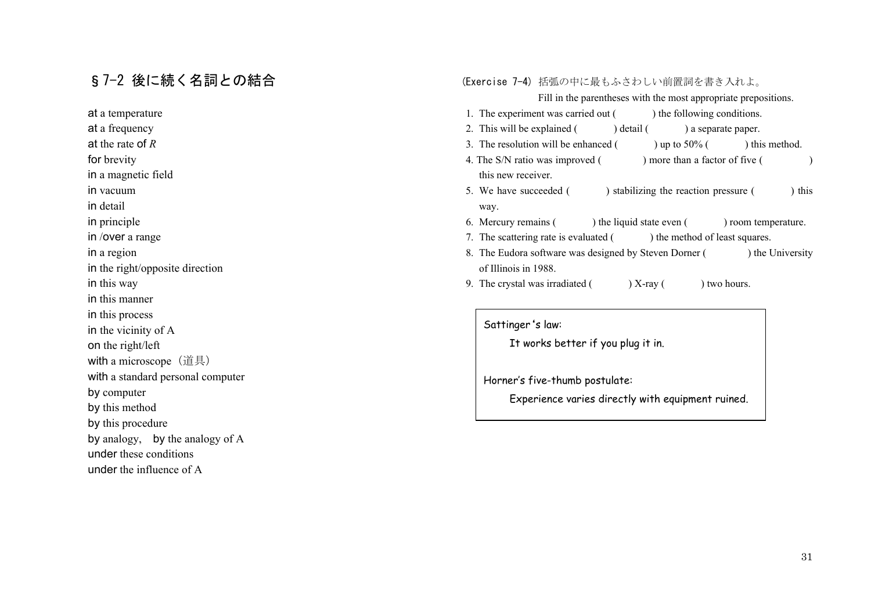## §7-2 後に続く名詞との結合

at a temperature at a frequency at the rate of *R*for brevity in a magnetic field in vacuum in detail in principle in /over a range in a region in the right/opposite direction in this way in this manner in this process in the vicinity of A on the right/left with a microscope (道具) with a standard personal computer by computer by this method by this procedure by analogy, by the analogy of A under these conditions under the influence of A

# (Exercise 7-4) 括弧の中に最もふさわしい前置詞を書き入れよ。 Fill in the parentheses with the most appropriate prepositions. 1. The experiment was carried out () the following conditions. 2. This will be explained  $($   $)$  detail  $($   $)$  a separate paper. 3. The resolution will be enhanced  $\sim$  ) up to 50% ( ) this method. 4. The S/N ratio was improved () more than a factor of five () this new receiver. 5. We have succeeded ( ) stabilizing the reaction pressure ( ) this way. 6. Mercury remains ( ) the liquid state even ( ) room temperature. 7. The scattering rate is evaluated () the method of least squares. 8. The Eudora software was designed by Steven Dorner () the University of Illinois in 1988. 9. The crystal was irradiated  $($   $)$  X-ray  $($   $)$  two hours. Sattinger's law: It works better if you plug it in.

Horner's five-thumb postulate:

Experience varies directly with equipment ruined.